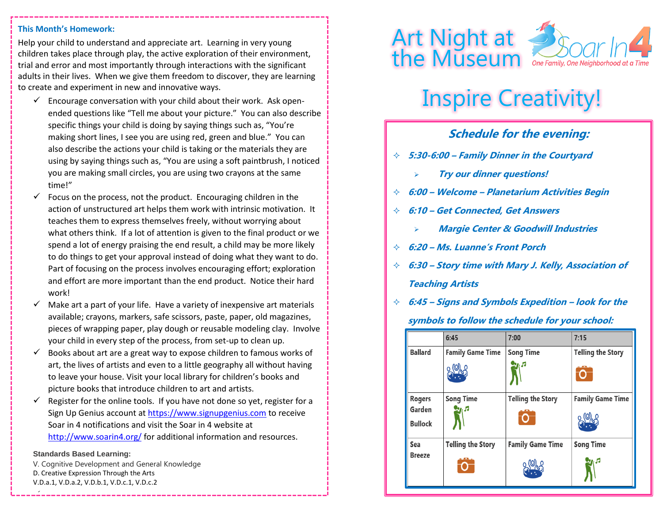#### **This Month's Homework:**

Help your child to understand and appreciate art.Learning in very young children takes place through play, the active exploration of their environment, trial and error and most importantly through interactions with the significant adults in their lives. When we give them freedom to discover, they are learning to create and experiment in new and innovative ways.

- $\checkmark$  Encourage conversation with your child about their work. Ask openended questions like "Tell me about your picture." You can also describe specific things your child is doing by saying things such as, "You're making short lines, I see you are using red, green and blue." You can also describe the actions your child is taking or the materials they are using by saying things such as, "You are using a soft paintbrush, I noticed you are making small circles, you are using two crayons at the same time!"
- Focus on the process, not the product. Encouraging children in the action of unstructured art helps them work with intrinsic motivation. It teaches them to express themselves freely, without worrying about what others think. If a lot of attention is given to the final product or we spend a lot of energy praising the end result, a child may be more likely to do things to get your approval instead of doing what they want to do. Part of focusing on the process involves encouraging effort; exploration and effort are more important than the end product. Notice their hard work!
- Make art a part of your life. Have a variety of inexpensive art materials available; crayons, markers, safe scissors, paste, paper, old magazines, pieces of wrapping paper, play dough or reusable modeling clay. Involve your child in every step of the process, from set-up to clean up.
- $\checkmark$  Books about art are a great way to expose children to famous works of art, the lives of artists and even to a little geography all without having to leave your house. Visit your local library for children's books and picture books that introduce children to art and artists.
- $\checkmark$  Register for the online tools. If you have not done so yet, register for a Sign Up Genius account a[t https://www.signupgenius.com](https://www.signupgenius.com/) to receive Soar in 4 notifications and visit the Soar in 4 website at <http://www.soarin4.org/> for additional information and resources.

#### **Standards Based Learning:**

✓

V. Cognitive Development and General Knowledge D. Creative Expression Through the Arts V.D.a.1, V.D.a.2, V.D.b.1, V.D.c.1, V.D.c.2



# Inspire Creativity!

## **Schedule for the evening:**

- **5:30-6:00 – Family Dinner in the Courtyard**
	- ➢ **Try our dinner questions!**
- **6:00 – Welcome – Planetarium Activities Begin**
- **6:10 – Get Connected, Get Answers**
	- ➢ **Margie Center & Goodwill Industries**
- **6:20 – Ms. Luanne's Front Porch**
- **6:30 – Story time with Mary J. Kelly, Association of Teaching Artists**
- **6:45 – Signs and Symbols Expedition – look for the**

**symbols to follow the schedule for your school:**

|                          | 6:45                     | 7:00                     | 7:15                     |
|--------------------------|--------------------------|--------------------------|--------------------------|
| <b>Ballard</b>           | <b>Family Game Time</b>  | <b>Song Time</b>         | <b>Telling the Story</b> |
|                          |                          | л                        |                          |
| <b>Rogers</b>            | <b>Song Time</b>         | <b>Telling the Story</b> | <b>Family Game Time</b>  |
| Garden<br><b>Bullock</b> | л                        |                          |                          |
|                          |                          |                          |                          |
| Sea<br><b>Breeze</b>     | <b>Telling the Story</b> | <b>Family Game Time</b>  | <b>Song Time</b>         |
|                          |                          |                          | л                        |